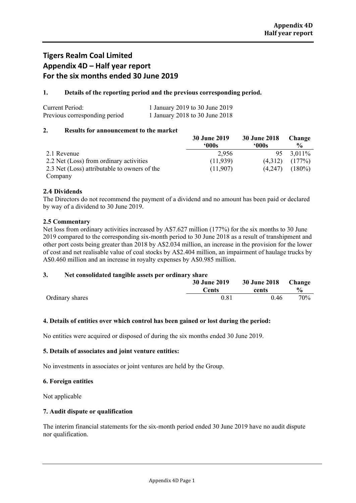## **Tigers Realm Coal Limited Appendix 4D – Half year report For the six months ended 30 June 2019**

## **1. Details of the reporting period and the previous corresponding period.**

| Current Period:               | 1 January 2019 to 30 June 2019 |
|-------------------------------|--------------------------------|
| Previous corresponding period | 1 January 2018 to 30 June 2018 |

## **2. Results for announcement to the market**

|                                              | 30 June 2019 | 30 June 2018 | Change        |
|----------------------------------------------|--------------|--------------|---------------|
|                                              | .000s        | 000s         | $\frac{0}{0}$ |
| 2.1 Revenue                                  | 2,956        | 95           | 3.011\%       |
| 2.2 Net (Loss) from ordinary activities      | (11,939)     | (4,312)      | (177%)        |
| 2.3 Net (Loss) attributable to owners of the | (11,907)     | (4,247)      | $(180\%)$     |
| Company                                      |              |              |               |

## **2.4 Dividends**

The Directors do not recommend the payment of a dividend and no amount has been paid or declared by way of a dividend to 30 June 2019.

## **2.5 Commentary**

Net loss from ordinary activities increased by A\$7.627 million (177%) for the six months to 30 June 2019 compared to the corresponding six-month period to 30 June 2018 as a result of transhipment and other port costs being greater than 2018 by A\$2.034 million, an increase in the provision for the lower of cost and net realisable value of coal stocks by A\$2.404 million, an impairment of haulage trucks by A\$0.460 million and an increase in royalty expenses by A\$0.985 million.

## **3. Net consolidated tangible assets per ordinary share**

|                 | <b>30 June 2019</b> | 30 June 2018 Change |                |
|-----------------|---------------------|---------------------|----------------|
|                 | Cents               | cents               | $\frac{6}{10}$ |
| Ordinary shares | 0.81                | 0.46                | 70%            |

## **4. Details of entities over which control has been gained or lost during the period:**

No entities were acquired or disposed of during the six months ended 30 June 2019.

## **5. Details of associates and joint venture entities:**

No investments in associates or joint ventures are held by the Group.

## **6. Foreign entities**

Not applicable

## **7. Audit dispute or qualification**

The interim financial statements for the six-month period ended 30 June 2019 have no audit dispute nor qualification.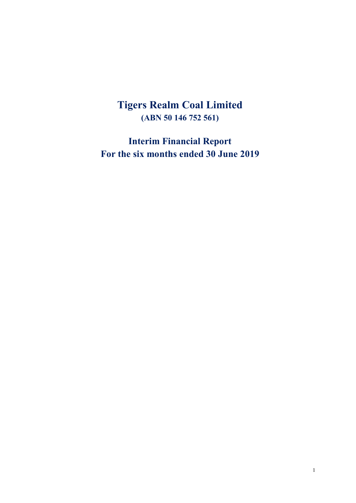## **Tigers Realm Coal Limited (ABN 50 146 752 561)**

**Interim Financial Report For the six months ended 30 June 2019**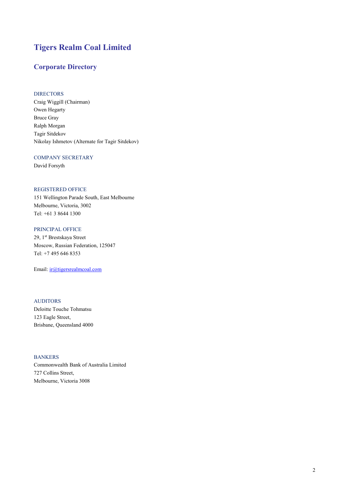## **Tigers Realm Coal Limited**

## **Corporate Directory**

## DIRECTORS

Craig Wiggill (Chairman) Owen Hegarty Bruce Gray Ralph Morgan Tagir Sitdekov Nikolay Ishmetov (Alternate for Tagir Sitdekov)

## COMPANY SECRETARY

David Forsyth

## REGISTERED OFFICE

151 Wellington Parade South, East Melbourne Melbourne, Victoria, 3002 Tel: +61 3 8644 1300

## PRINCIPAL OFFICE

29, 1st Brestskaya Street Moscow, Russian Federation, 125047 Tel: +7 495 646 8353

Email: [ir@tigersrealmcoal.com](mailto:ir@tigersrealmcoal.com)

## AUDITORS

Deloitte Touche Tohmatsu 123 Eagle Street, Brisbane, Queensland 4000

## BANKERS

Commonwealth Bank of Australia Limited 727 Collins Street, Melbourne, Victoria 3008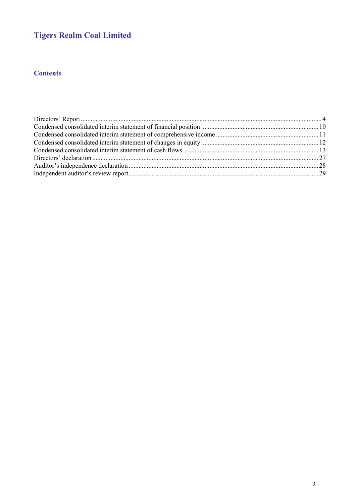## **Tigers Realm Coal Limited**

## **Contents**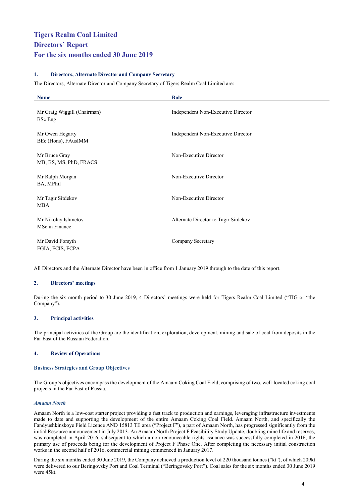## <span id="page-4-0"></span>**1. Directors, Alternate Director and Company Secretary**

The Directors, Alternate Director and Company Secretary of Tigers Realm Coal Limited are:

| <b>Name</b>                                   | Role                                 |
|-----------------------------------------------|--------------------------------------|
| Mr Craig Wiggill (Chairman)<br><b>BSc</b> Eng | Independent Non-Executive Director   |
| Mr Owen Hegarty<br>BEc (Hons), FAusIMM        | Independent Non-Executive Director   |
| Mr Bruce Gray<br>MB, BS, MS, PhD, FRACS       | Non-Executive Director               |
| Mr Ralph Morgan<br>BA, MPhil                  | Non-Executive Director               |
| Mr Tagir Sitdekov<br><b>MBA</b>               | Non-Executive Director               |
| Mr Nikolay Ishmetov<br>MSc in Finance         | Alternate Director to Tagir Sitdekov |
| Mr David Forsyth<br>FGIA, FCIS, FCPA          | Company Secretary                    |

All Directors and the Alternate Director have been in office from 1 January 2019 through to the date of this report.

## **2. Directors' meetings**

During the six month period to 30 June 2019, 4 Directors' meetings were held for Tigers Realm Coal Limited ("TIG or "the Company").

## **3. Principal activities**

The principal activities of the Group are the identification, exploration, development, mining and sale of coal from deposits in the Far East of the Russian Federation.

## **4. Review of Operations**

#### **Business Strategies and Group Objectives**

The Group's objectives encompass the development of the Amaam Coking Coal Field, comprising of two, well-located coking coal projects in the Far East of Russia.

#### *Amaam North*

Amaam North is a low-cost starter project providing a fast track to production and earnings, leveraging infrastructure investments made to date and supporting the development of the entire Amaam Coking Coal Field. Amaam North, and specifically the Fandyushkinskoye Field Licence AND 15813 TE area ("Project F"), a part of Amaam North, has progressed significantly from the initial Resource announcement in July 2013. An Amaam North Project F Feasibility Study Update, doubling mine life and reserves, was completed in April 2016, subsequent to which a non-renounceable rights issuance was successfully completed in 2016, the primary use of proceeds being for the development of Project F Phase One. After completing the necessary initial construction works in the second half of 2016, commercial mining commenced in January 2017.

During the six months ended 30 June 2019, the Company achieved a production level of 220 thousand tonnes ("kt"), of which 209kt were delivered to our Beringovsky Port and Coal Terminal ("Beringovsky Port"). Coal sales for the six months ended 30 June 2019 were 45kt.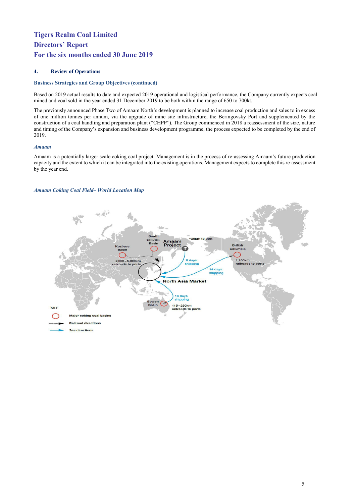## **4. Review of Operations**

## **Business Strategies and Group Objectives (continued)**

Based on 2019 actual results to date and expected 2019 operational and logistical performance, the Company currently expects coal mined and coal sold in the year ended 31 December 2019 to be both within the range of 650 to 700kt.

The previously announced Phase Two of Amaam North's development is planned to increase coal production and sales to in excess of one million tonnes per annum, via the upgrade of mine site infrastructure, the Beringovsky Port and supplemented by the construction of a coal handling and preparation plant ("CHPP"). The Group commenced in 2018 a reassessment of the size, nature and timing of the Company's expansion and business development programme, the process expected to be completed by the end of 2019.

## *Amaam*

Amaam is a potentially larger scale coking coal project. Management is in the process of re-assessing Amaam's future production capacity and the extent to which it can be integrated into the existing operations. Management expects to complete this re-assessment by the year end.

## *Amaam Coking Coal Field– World Location Map*

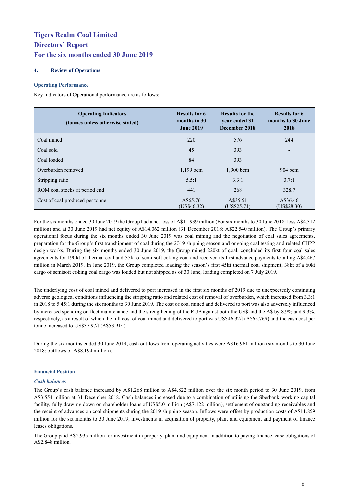## **4. Review of Operations**

## **Operating Performance**

Key Indicators of Operational performance are as follows:

| <b>Operating Indicators</b><br>(tonnes unless otherwise stated) | <b>Results for 6</b><br>months to 30<br><b>June 2019</b> | <b>Results for the</b><br>year ended 31<br>December 2018 | <b>Results for 6</b><br>months to 30 June<br>2018 |
|-----------------------------------------------------------------|----------------------------------------------------------|----------------------------------------------------------|---------------------------------------------------|
| Coal mined                                                      | 220                                                      | 576                                                      | 244                                               |
| Coal sold                                                       | 45                                                       | 393                                                      |                                                   |
| Coal loaded                                                     | 84                                                       | 393                                                      |                                                   |
| Overburden removed                                              | $1,199$ bcm                                              | $1,900$ bcm                                              | $904 \,\mathrm{bcm}$                              |
| Stripping ratio                                                 | 5.5:1                                                    | 3.3:1                                                    | 3.7:1                                             |
| ROM coal stocks at period end                                   | 441                                                      | 268                                                      | 328.7                                             |
| Cost of coal produced per tonne                                 | A\$65.76<br>(US\$46.32)                                  | A\$35.51<br>(US\$25.71)                                  | A\$36.46<br>(US\$28.30)                           |

For the six months ended 30 June 2019 the Group had a net loss of A\$11.939 million (For six months to 30 June 2018: loss A\$4.312 million) and at 30 June 2019 had net equity of A\$14.062 million (31 December 2018: A\$22.540 million). The Group's primary operational focus during the six months ended 30 June 2019 was coal mining and the negotiation of coal sales agreements, preparation for the Group's first transhipment of coal during the 2019 shipping season and ongoing coal testing and related CHPP design works. During the six months ended 30 June 2019, the Group mined 220kt of coal, concluded its first four coal sales agreements for 190kt of thermal coal and 55kt of semi-soft coking coal and received its first advance payments totalling A\$4.467 million in March 2019. In June 2019, the Group completed loading the season's first 45kt thermal coal shipment, 38kt of a 60kt cargo of semisoft coking coal cargo was loaded but not shipped as of 30 June, loading completed on 7 July 2019.

The underlying cost of coal mined and delivered to port increased in the first six months of 2019 due to unexpectedly continuing adverse geological conditions influencing the stripping ratio and related cost of removal of overburden, which increased from 3.3:1 in 2018 to 5.45:1 during the six months to 30 June 2019. The cost of coal mined and delivered to port was also adversely influenced by increased spending on fleet maintenance and the strengthening of the RUB against both the US\$ and the A\$ by 8.9% and 9.3%, respectively, as a result of which the full cost of coal mined and delivered to port was US\$46.32/t (A\$65.76/t) and the cash cost per tonne increased to US\$37.97/t (A\$53.91/t).

During the six months ended 30 June 2019, cash outflows from operating activities were A\$16.961 million (six months to 30 June 2018: outflows of A\$8.194 million).

## **Financial Position**

## *Cash balances*

The Group's cash balance increased by A\$1.268 million to A\$4.822 million over the six month period to 30 June 2019, from A\$3.554 million at 31 December 2018. Cash balances increased due to a combination of utilising the Sberbank working capital facility, fully drawing down on shareholder loans of US\$5.0 million (A\$7.122 million), settlement of outstanding receivables and the receipt of advances on coal shipments during the 2019 shipping season. Inflows were offset by production costs of A\$11.859 million for the six months to 30 June 2019, investments in acquisition of property, plant and equipment and payment of finance leases obligations.

The Group paid A\$2.935 million for investment in property, plant and equipment in addition to paying finance lease obligations of A\$2.848 million.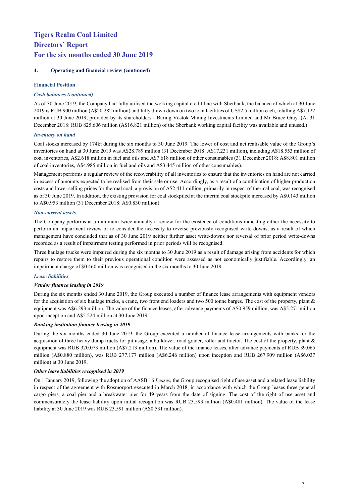## **4. Operating and financial review (continued)**

## **Financial Position**

## *Cash balances (continued)*

As of 30 June 2019, the Company had fully utilised the working capital credit line with Sberbank, the balance of which at 30 June 2019 is RUB 900 million (A\$20.282 million) and fully drawn down on two loan facilities of US\$2.5 million each, totalling A\$7.122 million at 30 June 2019, provided by its shareholders - Baring Vostok Mining Investments Limited and Mr Bruce Gray. (At 31 December 2018: RUB 825.606 million (A\$16.821 million) of the Sberbank working capital facility was available and unused.)

## *Inventory on hand*

Coal stocks increased by 174kt during the six months to 30 June 2019. The lower of cost and net realisable value of the Group's inventories on hand at 30 June 2019 was A\$28.789 million (31 December 2018: A\$17.231 million), including A\$18.553 million of coal inventories, A\$2.618 million in fuel and oils and A\$7.618 million of other consumables (31 December 2018: A\$8.801 million of coal inventories, A\$4.985 million in fuel and oils and A\$3.445 million of other consumables).

Management performs a regular review of the recoverability of all inventories to ensure that the inventories on hand are not carried in excess of amounts expected to be realised from their sale or use. Accordingly, as a result of a combination of higher production costs and lower selling prices for thermal coal, a provision of A\$2.411 million, primarily in respect of thermal coal, was recognised as of 30 June 2019. In addition, the existing provision for coal stockpiled at the interim coal stockpile increased by A\$0.143 million to A\$0.953 million (31 December 2018: A\$0.830 million).

## *Non-current assets*

The Company performs at a minimum twice annually a review for the existence of conditions indicating either the necessity to perform an impairment review or to consider the necessity to reverse previously recognised write-downs, as a result of which management have concluded that as of 30 June 2019 neither further asset write-downs nor reversal of prior period write-downs recorded as a result of impairment testing performed in prior periods will be recognised.

Three haulage trucks were impaired during the six months to 30 June 2019 as a result of damage arising from accidents for which repairs to restore them to their previous operational condition were assessed as not economically justifiable. Accordingly, an impairment charge of \$0.460 million was recognised in the six months to 30 June 2019.

## *Lease liabilities*

## *Vendor finance leasing in 2019*

During the six months ended 30 June 2019, the Group executed a number of finance lease arrangements with equipment vendors for the acquisition of six haulage trucks, a crane, two front end loaders and two 500 tonne barges. The cost of the property, plant & equipment was A\$6.293 million. The value of the finance leases, after advance payments of A\$0.959 million, was A\$5.271 million upon inception and A\$5.224 million at 30 June 2019.

## *Banking institution finance leasing in 2019*

During the six months ended 30 June 2019, the Group executed a number of finance lease arrangements with banks for the acquisition of three heavy dump trucks for pit usage, a bulldozer, road grader, roller and tractor. The cost of the property, plant & equipment was RUB 320.073 million (A\$7.213 million). The value of the finance leases, after advance payments of RUB 39.065 million (A\$0.880 million), was RUB 277.177 million (A\$6.246 million) upon inception and RUB 267.909 million (A\$6.037 million) at 30 June 2019.

## *Other lease liabilities recognised in 2019*

On 1 January 2019, following the adoption of AASB 16 *Leases*, the Group recognised right of use asset and a related lease liability in respect of the agreement with Rosmorport executed in March 2018, in accordance with which the Group leases three general cargo piers, a coal pier and a breakwater pier for 49 years from the date of signing. The cost of the right of use asset and commensurately the lease liability upon initial recognition was RUB 23.593 million (A\$0.481 million). The value of the lease liability at 30 June 2019 was RUB 23.591 million (A\$0.531 million).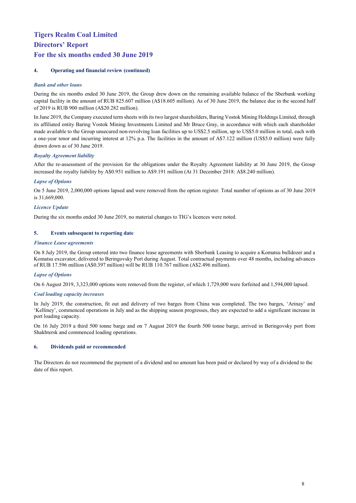## **4. Operating and financial review (continued)**

## *Bank and other loans*

During the six months ended 30 June 2019, the Group drew down on the remaining available balance of the Sberbank working capital facility in the amount of RUB 825.607 million (A\$18.605 million). As of 30 June 2019, the balance due in the second half of 2019 is RUB 900 million (A\$20.282 million).

In June 2019, the Company executed term sheets with its two largest shareholders, Baring Vostok Mining Holdings Limited, through its affiliated entity Baring Vostok Mining Investments Limited and Mr Bruce Gray, in accordance with which each shareholder made available to the Group unsecured non-revolving loan facilities up to US\$2.5 million, up to US\$5.0 million in total, each with a one-year tenor and incurring interest at 12% p.a. The facilities in the amount of A\$7.122 million (US\$5.0 million) were fully drawn down as of 30 June 2019.

## *Royalty Agreement liability*

After the re-assessment of the provision for the obligations under the Royalty Agreement liability at 30 June 2019, the Group increased the royalty liability by A\$0.951 million to A\$9.191 million (At 31 December 2018: A\$8.240 million).

## *Lapse of Options*

On 5 June 2019, 2,000,000 options lapsed and were removed from the option register. Total number of options as of 30 June 2019 is 31,669,000.

## *Licence Update*

During the six months ended 30 June 2019, no material changes to TIG's licences were noted.

## **5. Events subsequent to reporting date**

## *Finance Lease agreements*

On 8 July 2019, the Group entered into two finance lease agreements with Sberbank Leasing to acquire a Komatsu bulldozer and a Komatsu excavator, delivered to Beringovsky Port during August. Total contractual payments over 48 months, including advances of RUB 17.596 million (A\$0.397 million) will be RUB 110.767 million (A\$2.496 million).

## *Lapse of Options*

On 6 August 2019, 3,323,000 options were removed from the register, of which 1,729,000 were forfeited and 1,594,000 lapsed.

## *Coal loading capacity increases*

In July 2019, the construction, fit out and delivery of two barges from China was completed. The two barges, 'Arinay' and 'Kelliney', commenced operations in July and as the shipping season progresses, they are expected to add a significant increase in port loading capacity.

On 16 July 2019 a third 500 tonne barge and on 7 August 2019 the fourth 500 tonne barge, arrived in Beringovsky port from Shakhtersk and commenced loading operations.

## **6. Dividends paid or recommended**

The Directors do not recommend the payment of a dividend and no amount has been paid or declared by way of a dividend to the date of this report.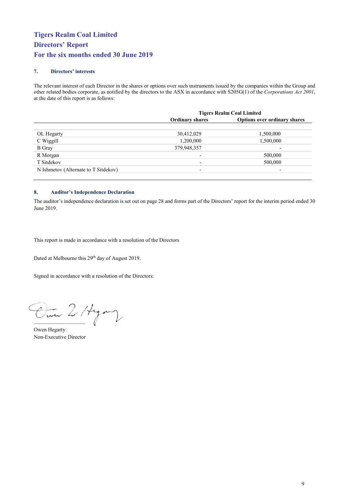## **7. Directors' interests**

The relevant interest of each Director in the shares or options over such instruments issued by the companies within the Group and other related bodies corporate, as notified by the directors to the ASX in accordance with S205G(1) of the *Corporations Act 2001*, at the date of this report is as follows:

|                                      | <b>Tigers Realm Coal Limited</b> |                                     |  |  |
|--------------------------------------|----------------------------------|-------------------------------------|--|--|
|                                      | <b>Ordinary shares</b>           | <b>Options over ordinary shares</b> |  |  |
|                                      |                                  |                                     |  |  |
| OL Hegarty                           | 30,412,029                       | 1,500,000                           |  |  |
| C Wiggill                            | 1,200,000                        | 1,500,000                           |  |  |
| <b>B</b> Gray                        | 379,948,357                      | $\overline{\phantom{0}}$            |  |  |
| R Morgan                             | $\overline{\phantom{0}}$         | 500,000                             |  |  |
| T Sitdekov                           | $\overline{\phantom{0}}$         | 500,000                             |  |  |
| N Ishmetov (Alternate to T Sitdekov) | $\overline{\phantom{0}}$         | $\overline{\phantom{0}}$            |  |  |

## **8. Auditor's Independence Declaration**

The auditor's independence declaration is set out on page 28 and forms part of the Directors' report for the interim period ended 30 June 2019.

This report is made in accordance with a resolution of the Directors

Dated at Melbourne this 29th day of August 2019.

Signed in accordance with a resolution of the Directors:

Om 2/4 m

Owen Hegarty Non-Executive Director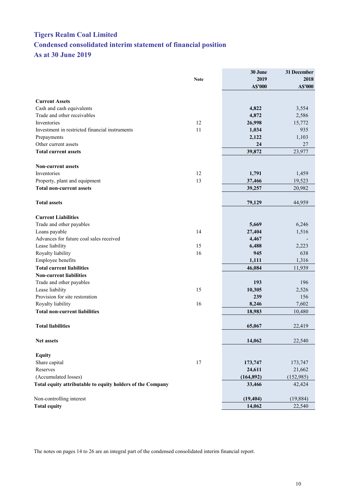## <span id="page-10-0"></span>**Tigers Realm Coal Limited Condensed consolidated interim statement of financial position As at 30 June 2019**

|                                                            |             | 30 June    | 31 December |
|------------------------------------------------------------|-------------|------------|-------------|
|                                                            | <b>Note</b> | 2019       | 2018        |
|                                                            |             | A\$'000    | A\$'000     |
|                                                            |             |            |             |
| <b>Current Assets</b>                                      |             |            |             |
| Cash and cash equivalents                                  |             | 4,822      | 3,554       |
| Trade and other receivables                                |             | 4,872      | 2,586       |
| Inventories                                                | 12          | 26,998     | 15,772      |
| Investment in restricted financial instruments             | 11          | 1,034      | 935         |
| Prepayments                                                |             | 2,122      | 1,103       |
| Other current assets                                       |             | 24         | 27          |
| <b>Total current assets</b>                                |             | 39,872     | 23,977      |
| <b>Non-current assets</b>                                  |             |            |             |
| Inventories                                                | 12          | 1,791      | 1,459       |
| Property, plant and equipment                              | 13          | 37,466     | 19,523      |
| <b>Total non-current assets</b>                            |             | 39,257     | 20,982      |
|                                                            |             |            |             |
| <b>Total assets</b>                                        |             | 79,129     | 44,959      |
| <b>Current Liabilities</b>                                 |             |            |             |
| Trade and other payables                                   |             | 5,669      | 6,246       |
| Loans payable                                              | 14          | 27,404     | 1,516       |
| Advances for future coal sales received                    |             | 4,467      |             |
| Lease liability                                            | 15          | 6,488      | 2,223       |
| Royalty liability                                          | 16          | 945        | 638         |
| Employee benefits                                          |             | 1,111      | 1,316       |
| <b>Total current liabilities</b>                           |             | 46,084     | 11,939      |
| <b>Non-current liabilities</b>                             |             |            |             |
| Trade and other payables                                   |             | 193        | 196         |
| Lease liability                                            | 15          | 10,305     | 2,526       |
| Provision for site restoration                             |             | 239        | 156         |
| Royalty liability                                          | 16          | 8,246      | 7,602       |
| <b>Total non-current liabilities</b>                       |             | 18,983     | 10,480      |
|                                                            |             |            |             |
| <b>Total liabilities</b>                                   |             | 65,067     | 22,419      |
|                                                            |             |            |             |
| Net assets                                                 |             | 14,062     | 22,540      |
| <b>Equity</b>                                              |             |            |             |
| Share capital                                              | 17          | 173,747    | 173,747     |
| Reserves                                                   |             | 24,611     | 21,662      |
| (Accumulated losses)                                       |             | (164, 892) | (152, 985)  |
| Total equity attributable to equity holders of the Company |             | 33,466     | 42,424      |
| Non-controlling interest                                   |             | (19, 404)  | (19, 884)   |
| <b>Total equity</b>                                        |             | 14,062     | 22,540      |
|                                                            |             |            |             |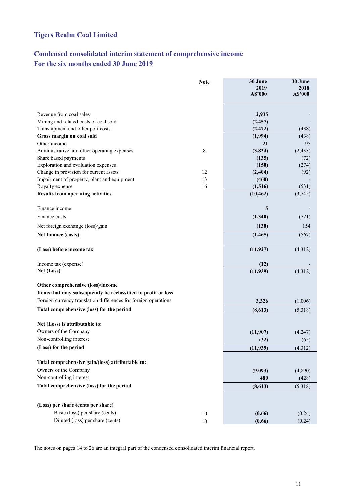## **Tigers Realm Coal Limited**

## <span id="page-11-0"></span>**Condensed consolidated interim statement of comprehensive income For the six months ended 30 June 2019**

|                                                                 | <b>Note</b> | 30 June<br>2019 | 30 June<br>2018 |
|-----------------------------------------------------------------|-------------|-----------------|-----------------|
|                                                                 |             | A\$'000         | A\$'000         |
| Revenue from coal sales                                         |             | 2,935           |                 |
| Mining and related costs of coal sold                           |             | (2, 457)        |                 |
| Transhipment and other port costs                               |             | (2, 472)        | (438)           |
| Gross margin on coal sold                                       |             | (1,994)         | (438)           |
| Other income                                                    |             | 21              | 95              |
| Administrative and other operating expenses                     | 8           | (3,824)         | (2, 433)        |
| Share based payments                                            |             | (135)           | (72)            |
| Exploration and evaluation expenses                             |             | (150)           | (274)           |
| Change in provision for current assets                          | 12          | (2,404)         | (92)            |
| Impairment of property, plant and equipment                     | 13          | (460)           |                 |
| Royalty expense                                                 | 16          | (1,516)         | (531)           |
| <b>Results from operating activities</b>                        |             | (10, 462)       | (3,745)         |
| Finance income                                                  |             | 5               |                 |
| Finance costs                                                   |             | (1,340)         | (721)           |
| Net foreign exchange (loss)/gain                                |             | (130)           | 154             |
| Net finance (costs)                                             |             | (1, 465)        | (567)           |
| (Loss) before income tax                                        |             | (11, 927)       | (4,312)         |
| Income tax (expense)                                            |             | (12)            |                 |
| Net (Loss)                                                      |             | (11,939)        | (4,312)         |
|                                                                 |             |                 |                 |
| Other comprehensive (loss)/income                               |             |                 |                 |
| Items that may subsequently be reclassified to profit or loss   |             |                 |                 |
| Foreign currency translation differences for foreign operations |             | 3,326           | (1,006)         |
| Total comprehensive (loss) for the period                       |             | (8,613)         | (5,318)         |
| Net (Loss) is attributable to:                                  |             |                 |                 |
| Owners of the Company                                           |             | (11,907)        | (4,247)         |
| Non-controlling interest                                        |             | (32)            | (65)            |
| (Loss) for the period                                           |             | (11,939)        | (4,312)         |
|                                                                 |             |                 |                 |
| Total comprehensive gain/(loss) attributable to:                |             |                 |                 |
| Owners of the Company                                           |             | (9,093)         | (4,890)         |
| Non-controlling interest                                        |             | 480             | (428)           |
| Total comprehensive (loss) for the period                       |             | (8,613)         | (5,318)         |
| (Loss) per share (cents per share)                              |             |                 |                 |
| Basic (loss) per share (cents)                                  |             |                 |                 |
| Diluted (loss) per share (cents)                                | 10          | (0.66)          | (0.24)          |
|                                                                 | $10\,$      | (0.66)          | (0.24)          |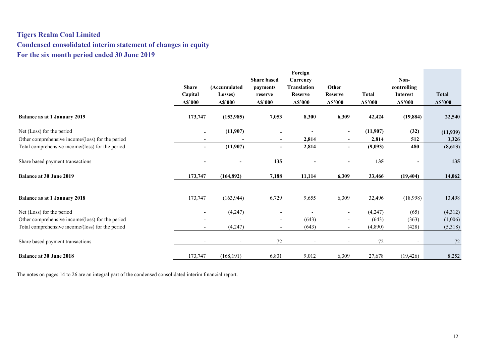## **Tigers Realm Coal Limited Condensed consolidated interim statement of changes in equity For the six month period ended 30 June 2019**

<span id="page-12-0"></span>

|                                                  |                          |                          |                          | Foreign                  |                          |              |                          |              |
|--------------------------------------------------|--------------------------|--------------------------|--------------------------|--------------------------|--------------------------|--------------|--------------------------|--------------|
|                                                  |                          |                          | <b>Share based</b>       | Currency                 |                          |              | Non-                     |              |
|                                                  | <b>Share</b>             | (Accumulated             | payments                 | <b>Translation</b>       | Other                    |              | controlling              |              |
|                                                  | Capital                  | Losses)                  | reserve                  | Reserve                  | <b>Reserve</b>           | <b>Total</b> | <b>Interest</b>          | <b>Total</b> |
|                                                  | A\$'000                  | A\$'000                  | A\$'000                  | A\$'000                  | A\$'000                  | A\$'000      | A\$'000                  | A\$'000      |
| <b>Balance as at 1 January 2019</b>              | 173,747                  | (152, 985)               | 7,053                    | 8,300                    | 6,309                    | 42,424       | (19, 884)                | 22,540       |
| Net (Loss) for the period                        | $\blacksquare$           | (11,907)                 |                          |                          | $\overline{\phantom{a}}$ | (11,907)     | (32)                     | (11,939)     |
| Other comprehensive income/(loss) for the period |                          |                          | $\blacksquare$           | 2,814                    | $\overline{\phantom{a}}$ | 2,814        | 512                      | 3,326        |
| Total comprehensive income/(loss) for the period | $\overline{\phantom{a}}$ | (11,907)                 | $\sim$                   | 2,814                    | $\blacksquare$           | (9,093)      | 480                      | (8,613)      |
|                                                  |                          |                          |                          |                          |                          |              |                          |              |
| Share based payment transactions                 |                          |                          | 135                      |                          |                          | 135          | $\sim$                   | 135          |
| <b>Balance at 30 June 2019</b>                   | 173,747                  | (164, 892)               | 7,188                    | 11,114                   | 6,309                    | 33,466       | (19, 404)                | 14,062       |
|                                                  |                          |                          |                          |                          |                          |              |                          |              |
| <b>Balance as at 1 January 2018</b>              | 173,747                  | (163, 944)               | 6,729                    | 9,655                    | 6,309                    | 32,496       | (18,998)                 | 13,498       |
| Net (Loss) for the period                        | $\overline{\phantom{a}}$ | (4,247)                  |                          |                          | $\overline{\phantom{a}}$ | (4,247)      | (65)                     | (4,312)      |
| Other comprehensive income/(loss) for the period |                          |                          | $\sim$                   | (643)                    | $\overline{\phantom{a}}$ | (643)        | (363)                    | (1,006)      |
| Total comprehensive income/(loss) for the period | $\overline{\phantom{a}}$ | (4,247)                  | $\overline{\phantom{a}}$ | (643)                    | $\overline{\phantom{a}}$ | (4,890)      | (428)                    | (5,318)      |
| Share based payment transactions                 |                          | $\overline{\phantom{a}}$ | $72\,$                   | $\overline{\phantom{a}}$ |                          | 72           | $\overline{\phantom{a}}$ | 72           |
| <b>Balance at 30 June 2018</b>                   | 173,747                  | (168, 191)               | 6,801                    | 9,012                    | 6,309                    | 27,678       | (19, 426)                | 8,252        |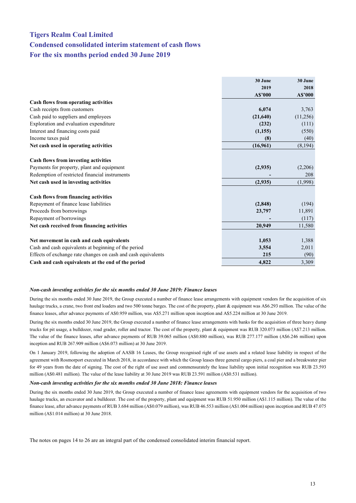## <span id="page-13-0"></span>**Tigers Realm Coal Limited Condensed consolidated interim statement of cash flows For the six months period ended 30 June 2019**

|                                                               | 30 June  | 30 June  |
|---------------------------------------------------------------|----------|----------|
|                                                               | 2019     | 2018     |
|                                                               | A\$'000  | A\$'000  |
| Cash flows from operating activities                          |          |          |
| Cash receipts from customers                                  | 6,074    | 3,763    |
| Cash paid to suppliers and employees                          | (21,640) | (11,256) |
| Exploration and evaluation expenditure                        | (232)    | (111)    |
| Interest and financing costs paid                             | (1,155)  | (550)    |
| Income taxes paid                                             | (8)      | (40)     |
| Net cash used in operating activities                         | (16,961) | (8, 194) |
|                                                               |          |          |
| Cash flows from investing activities                          |          |          |
| Payments for property, plant and equipment                    | (2,935)  | (2,206)  |
| Redemption of restricted financial instruments                |          | 208      |
| Net cash used in investing activities                         | (2,935)  | (1,998)  |
|                                                               |          |          |
| <b>Cash flows from financing activities</b>                   |          |          |
| Repayment of finance lease liabilities                        | (2,848)  | (194)    |
| Proceeds from borrowings                                      | 23,797   | 11,891   |
| Repayment of borrowings                                       |          | (117)    |
| Net cash received from financing activities                   | 20,949   | 11,580   |
|                                                               |          |          |
| Net movement in cash and cash equivalents                     | 1,053    | 1,388    |
| Cash and cash equivalents at beginning of the period          | 3,554    | 2,011    |
| Effects of exchange rate changes on cash and cash equivalents | 215      | (90)     |
| Cash and cash equivalents at the end of the period            | 4,822    | 3,309    |

#### *Non-cash investing activities for the six months ended 30 June 2019: Finance leases*

During the six months ended 30 June 2019, the Group executed a number of finance lease arrangements with equipment vendors for the acquisition of six haulage trucks, a crane, two front end loaders and two 500 tonne barges. The cost of the property, plant & equipment was A\$6.293 million. The value of the finance leases, after advance payments of A\$0.959 million, was A\$5.271 million upon inception and A\$5.224 million at 30 June 2019.

During the six months ended 30 June 2019, the Group executed a number of finance lease arrangements with banks for the acquisition of three heavy dump trucks for pit usage, a bulldozer, road grader, roller and tractor. The cost of the property, plant & equipment was RUB 320.073 million (A\$7.213 million. The value of the finance leases, after advance payments of RUB 39.065 million (A\$0.880 million), was RUB 277.177 million (A\$6.246 million) upon inception and RUB 267.909 million (A\$6.073 million) at 30 June 2019.

On 1 January 2019, following the adoption of AASB 16 Leases, the Group recognised right of use assets and a related lease liability in respect of the agreement with Rosmorport executed in March 2018, in accordance with which the Group leases three general cargo piers, a coal pier and a breakwater pier for 49 years from the date of signing. The cost of the right of use asset and commensurately the lease liability upon initial recognition was RUB 23.593 million (A\$0.481 million). The value of the lease liability at 30 June 2019 was RUB 23.591 million (A\$0.531 million).

#### *Non-cash investing activities for the six months ended 30 June 2018: Finance leases*

During the six months ended 30 June 2019, the Group executed a number of finance lease agreements with equipment vendors for the acquisition of two haulage trucks, an excavator and a bulldozer. The cost of the property, plant and equipment was RUB 51.950 million (A\$1.115 million). The value of the finance lease, after advance payments of RUB 3.684 million (A\$0.079 million), was RUB 46.553 million (A\$1.004 million) upon inception and RUB 47.075 million (A\$1.014 million) at 30 June 2018.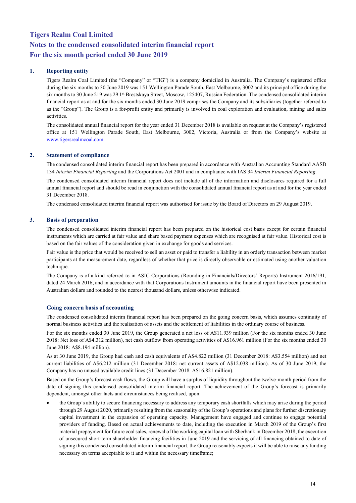## **1. Reporting entity**

Tigers Realm Coal Limited (the "Company" or "TIG") is a company domiciled in Australia. The Company's registered office during the six months to 30 June 2019 was 151 Wellington Parade South, East Melbourne, 3002 and its principal office during the six months to 30 June 219 was 29 1st Brestskaya Street, Moscow, 125407, Russian Federation. The condensed consolidated interim financial report as at and for the six months ended 30 June 2019 comprises the Company and its subsidiaries (together referred to as the "Group"). The Group is a for-profit entity and primarily is involved in coal exploration and evaluation, mining and sales activities.

The consolidated annual financial report for the year ended 31 December 2018 is available on request at the Company's registered office at 151 Wellington Parade South, East Melbourne, 3002, Victoria, Australia or from the Company's website at [www.tigersrealmcoal.com.](http://www.tigersrealmcoal.com/)

## **2. Statement of compliance**

The condensed consolidated interim financial report has been prepared in accordance with Australian Accounting Standard AASB 134 *Interim Financial Reporting* and the Corporations Act 2001 and in compliance with IAS 34 *Interim Financial Reporting*.

The condensed consolidated interim financial report does not include all of the information and disclosures required for a full annual financial report and should be read in conjunction with the consolidated annual financial report as at and for the year ended 31 December 2018.

The condensed consolidated interim financial report was authorised for issue by the Board of Directors on 29 August 2019.

## **3. Basis of preparation**

The condensed consolidated interim financial report has been prepared on the historical cost basis except for certain financial instruments which are carried at fair value and share based payment expenses which are recognised at fair value. Historical cost is based on the fair values of the consideration given in exchange for goods and services.

Fair value is the price that would be received to sell an asset or paid to transfer a liability in an orderly transaction between market participants at the measurement date, regardless of whether that price is directly observable or estimated using another valuation technique.

The Company is of a kind referred to in ASIC Corporations (Rounding in Financials/Directors' Reports) Instrument 2016/191, dated 24 March 2016, and in accordance with that Corporations Instrument amounts in the financial report have been presented in Australian dollars and rounded to the nearest thousand dollars, unless otherwise indicated.

## **Going concern basis of accounting**

The condensed consolidated interim financial report has been prepared on the going concern basis, which assumes continuity of normal business activities and the realisation of assets and the settlement of liabilities in the ordinary course of business.

For the six months ended 30 June 2019, the Group generated a net loss of A\$11.939 million (For the six months ended 30 June 2018: Net loss of A\$4.312 million), net cash outflow from operating activities of A\$16.961 million (For the six months ended 30 June 2018: A\$8.194 million).

As at 30 June 2019, the Group had cash and cash equivalents of A\$4.822 million (31 December 2018: A\$3.554 million) and net current liabilities of A\$6.212 million (31 December 2018: net current assets of A\$12.038 million). As of 30 June 2019, the Company has no unused available credit lines (31 December 2018: A\$16.821 million).

Based on the Group's forecast cash flows, the Group will have a surplus of liquidity throughout the twelve-month period from the date of signing this condensed consolidated interim financial report. The achievement of the Group's forecast is primarily dependent, amongst other facts and circumstances being realised, upon:

• the Group's ability to secure financing necessary to address any temporary cash shortfalls which may arise during the period through 29 August 2020, primarily resulting from the seasonality of the Group's operations and plans for further discretionary capital investment in the expansion of operating capacity. Management have engaged and continue to engage potential providers of funding. Based on actual achievements to date, including the execution in March 2019 of the Group's first material prepayment for future coal sales, renewal of the working capital loan with Sberbank in December 2018, the execution of unsecured short-term shareholder financing facilities in June 2019 and the servicing of all financing obtained to date of signing this condensed consolidated interim financial report, the Group reasonably expects it will be able to raise any funding necessary on terms acceptable to it and within the necessary timeframe;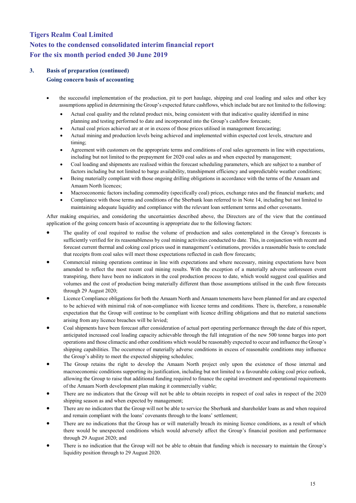## **3. Basis of preparation (continued) Going concern basis of accounting**

- the successful implementation of the production, pit to port haulage, shipping and coal loading and sales and other key assumptions applied in determining the Group's expected future cashflows, which include but are not limited to the following:
	- Actual coal quality and the related product mix, being consistent with that indicative quality identified in mine planning and testing performed to date and incorporated into the Group's cashflow forecasts;
	- Actual coal prices achieved are at or in excess of those prices utilised in management forecasting;
	- Actual mining and production levels being achieved and implemented within expected cost levels, structure and timing;
	- Agreement with customers on the appropriate terms and conditions of coal sales agreements in line with expectations, including but not limited to the prepayment for 2020 coal sales as and when expected by management;
	- Coal loading and shipments are realised within the forecast scheduling parameters, which are subject to a number of factors including but not limited to barge availability, transhipment efficiency and unpredictable weather conditions;
	- Being materially compliant with those ongoing drilling obligations in accordance with the terms of the Amaam and Amaam North licences;
	- Macroeconomic factors including commodity (specifically coal) prices, exchange rates and the financial markets; and
	- Compliance with those terms and conditions of the Sberbank loan referred to in Note 14, including but not limited to maintaining adequate liquidity and compliance with the relevant loan settlement terms and other covenants.

After making enquiries, and considering the uncertainties described above, the Directors are of the view that the continued application of the going concern basis of accounting is appropriate due to the following factors:

- The quality of coal required to realise the volume of production and sales contemplated in the Group's forecasts is sufficiently verified for its reasonableness by coal mining activities conducted to date. This, in conjunction with recent and forecast current thermal and coking coal prices used in management's estimations, provides a reasonable basis to conclude that receipts from coal sales will meet those expectations reflected in cash flow forecasts;
- Commercial mining operations continue in line with expectations and where necessary, mining expectations have been amended to reflect the most recent coal mining results. With the exception of a materially adverse unforeseen event transpiring, there have been no indicators in the coal production process to date, which would suggest coal qualities and volumes and the cost of production being materially different than those assumptions utilised in the cash flow forecasts through 29 August 2020;
- Licence Compliance obligations for both the Amaam North and Amaam tenements have been planned for and are expected to be achieved with minimal risk of non-compliance with licence terms and conditions. There is, therefore, a reasonable expectation that the Group will continue to be compliant with licence drilling obligations and that no material sanctions arising from any licence breaches will be levied;
- Coal shipments have been forecast after consideration of actual port operating performance through the date of this report, anticipated increased coal loading capacity achievable through the full integration of the new 500 tonne barges into port operations and those climactic and other conditions which would be reasonably expected to occur and influence the Group's shipping capabilities. The occurrence of materially adverse conditions in excess of reasonable conditions may influence the Group's ability to meet the expected shipping schedules;
- The Group retains the right to develop the Amaam North project only upon the existence of those internal and macroeconomic conditions supporting its justification, including but not limited to a favourable coking coal price outlook, allowing the Group to raise that additional funding required to finance the capital investment and operational requirements of the Amaam North development plan making it commercially viable;
- There are no indicators that the Group will not be able to obtain receipts in respect of coal sales in respect of the 2020 shipping season as and when expected by management;
- There are no indicators that the Group will not be able to service the Sberbank and shareholder loans as and when required and remain compliant with the loans' covenants through to the loans' settlement;
- There are no indications that the Group has or will materially breach its mining licence conditions, as a result of which there would be unexpected conditions which would adversely affect the Group's financial position and performance through 29 August 2020; and
- There is no indication that the Group will not be able to obtain that funding which is necessary to maintain the Group's liquidity position through to 29 August 2020.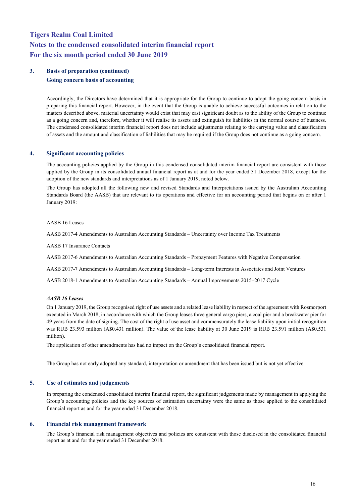## **3. Basis of preparation (continued) Going concern basis of accounting**

Accordingly, the Directors have determined that it is appropriate for the Group to continue to adopt the going concern basis in preparing this financial report. However, in the event that the Group is unable to achieve successful outcomes in relation to the matters described above, material uncertainty would exist that may cast significant doubt as to the ability of the Group to continue as a going concern and, therefore, whether it will realise its assets and extinguish its liabilities in the normal course of business. The condensed consolidated interim financial report does not include adjustments relating to the carrying value and classification of assets and the amount and classification of liabilities that may be required if the Group does not continue as a going concern.

## **4. Significant accounting policies**

The accounting policies applied by the Group in this condensed consolidated interim financial report are consistent with those applied by the Group in its consolidated annual financial report as at and for the year ended 31 December 2018, except for the adoption of the new standards and interpretations as of 1 January 2019, noted below.

The Group has adopted all the following new and revised Standards and Interpretations issued by the Australian Accounting Standards Board (the AASB) that are relevant to its operations and effective for an accounting period that begins on or after 1 January 2019:

## AASB 16 Leases

AASB 2017-4 Amendments to Australian Accounting Standards – Uncertainty over Income Tax Treatments

AASB 17 Insurance Contacts

AASB 2017-6 Amendments to Australian Accounting Standards – Prepayment Features with Negative Compensation

AASB 2017-7 Amendments to Australian Accounting Standards – Long-term Interests in Associates and Joint Ventures

AASB 2018-1 Amendments to Australian Accounting Standards – Annual Improvements 2015–2017 Cycle

## *AASB 16 Leases*

On 1 January 2019, the Group recognised right of use assets and a related lease liability in respect of the agreement with Rosmorport executed in March 2018, in accordance with which the Group leases three general cargo piers, a coal pier and a breakwater pier for 49 years from the date of signing. The cost of the right of use asset and commensurately the lease liability upon initial recognition was RUB 23.593 million (A\$0.431 million). The value of the lease liability at 30 June 2019 is RUB 23.591 million (A\$0.531 million).

The application of other amendments has had no impact on the Group's consolidated financial report.

The Group has not early adopted any standard, interpretation or amendment that has been issued but is not yet effective.

## **5. Use of estimates and judgements**

In preparing the condensed consolidated interim financial report, the significant judgements made by management in applying the Group's accounting policies and the key sources of estimation uncertainty were the same as those applied to the consolidated financial report as and for the year ended 31 December 2018.

## **6. Financial risk management framework**

The Group's financial risk management objectives and policies are consistent with those disclosed in the consolidated financial report as at and for the year ended 31 December 2018.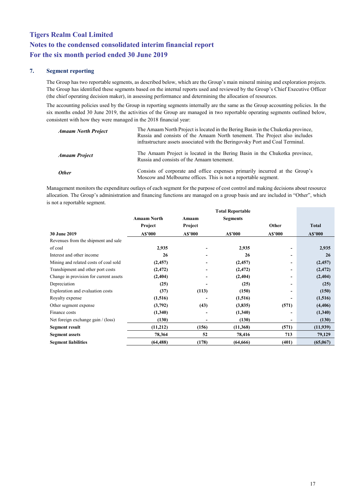## **7. Segment reporting**

The Group has two reportable segments, as described below, which are the Group's main mineral mining and exploration projects. The Group has identified these segments based on the internal reports used and reviewed by the Group's Chief Executive Officer (the chief operating decision maker), in assessing performance and determining the allocation of resources.

The accounting policies used by the Group in reporting segments internally are the same as the Group accounting policies. In the six months ended 30 June 2019, the activities of the Group are managed in two reportable operating segments outlined below, consistent with how they were managed in the 2018 financial year:

| <b>Amaam North Project</b> | The Amaam North Project is located in the Bering Basin in the Chukotka province,<br>Russia and consists of the Amaam North tenement. The Project also includes<br>infrastructure assets associated with the Beringovsky Port and Coal Terminal. |
|----------------------------|-------------------------------------------------------------------------------------------------------------------------------------------------------------------------------------------------------------------------------------------------|
| <b>Amaam Project</b>       | The Amaam Project is located in the Bering Basin in the Chukotka province,<br>Russia and consists of the Amaam tenement.                                                                                                                        |
| <b>Other</b>               | Consists of corporate and office expenses primarily incurred at the Group's<br>Moscow and Melbourne offices. This is not a reportable segment.                                                                                                  |

Management monitors the expenditure outlays of each segment for the purpose of cost control and making decisions about resource allocation. The Group's administration and financing functions are managed on a group basis and are included in "Other", which is not a reportable segment.

|                                        | <b>Amaam North</b> | Amaam   | <b>Segments</b> |                          |              |
|----------------------------------------|--------------------|---------|-----------------|--------------------------|--------------|
|                                        | Project            | Project |                 | Other                    | <b>Total</b> |
| 30 June 2019                           | A\$'000            | A\$'000 | A\$'000         | A\$'000                  | A\$'000      |
| Revenues from the shipment and sale    |                    |         |                 |                          |              |
| of coal                                | 2,935              |         | 2,935           |                          | 2,935        |
| Interest and other income              | 26                 |         | 26              | $\overline{\phantom{0}}$ | 26           |
| Mining and related costs of coal sold  | (2, 457)           | -       | (2, 457)        | -                        | (2, 457)     |
| Transhipment and other port costs      | (2, 472)           |         | (2, 472)        | $\overline{\phantom{0}}$ | (2, 472)     |
| Change in provision for current assets | (2,404)            |         | (2, 404)        | -                        | (2, 404)     |
| Depreciation                           | (25)               |         | (25)            | $\overline{\phantom{0}}$ | (25)         |
| Exploration and evaluation costs       | (37)               | (113)   | (150)           | $\overline{\phantom{0}}$ | (150)        |
| Royalty expense                        | (1,516)            |         | (1,516)         |                          | (1,516)      |
| Other segment expense                  | (3,792)            | (43)    | (3,835)         | (571)                    | (4, 406)     |
| Finance costs                          | (1,340)            |         | (1,340)         | -                        | (1,340)      |
| Net foreign exchange gain / (loss)     | (130)              |         | (130)           | -                        | (130)        |
| Segment result                         | (11,212)           | (156)   | (11,368)        | (571)                    | (11,939)     |
| <b>Segment assets</b>                  | 78,364             | 52      | 78,416          | 713                      | 79,129       |
| <b>Segment liabilities</b>             | (64, 488)          | (178)   | (64, 666)       | (401)                    | (65,067)     |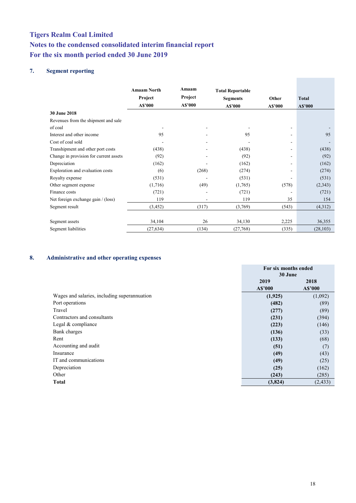## **7. Segment reporting**

|                                        | <b>Amaam North</b><br>Project<br>A\$'000 | Amaam<br>Project<br>A\$'000 | <b>Total Reportable</b><br><b>Segments</b><br>A\$'000 | Other<br>A\$'000         | <b>Total</b><br>A\$'000 |
|----------------------------------------|------------------------------------------|-----------------------------|-------------------------------------------------------|--------------------------|-------------------------|
| <b>30 June 2018</b>                    |                                          |                             |                                                       |                          |                         |
| Revenues from the shipment and sale    |                                          |                             |                                                       |                          |                         |
| of coal                                |                                          | $\blacksquare$              | $\overline{\phantom{0}}$                              | ۰                        |                         |
| Interest and other income              | 95                                       |                             | 95                                                    |                          | 95                      |
| Cost of coal sold                      |                                          |                             |                                                       |                          |                         |
| Transhipment and other port costs      | (438)                                    |                             | (438)                                                 |                          | (438)                   |
| Change in provision for current assets | (92)                                     |                             | (92)                                                  |                          | (92)                    |
| Depreciation                           | (162)                                    |                             | (162)                                                 | $\overline{\phantom{a}}$ | (162)                   |
| Exploration and evaluation costs       | (6)                                      | (268)                       | (274)                                                 |                          | (274)                   |
| Royalty expense                        | (531)                                    |                             | (531)                                                 |                          | (531)                   |
| Other segment expense                  | (1,716)                                  | (49)                        | (1,765)                                               | (578)                    | (2, 343)                |
| Finance costs                          | (721)                                    |                             | (721)                                                 |                          | (721)                   |
| Net foreign exchange gain / (loss)     | 119                                      | ٠                           | 119                                                   | 35                       | 154                     |
| Segment result                         | (3, 452)                                 | (317)                       | (3,769)                                               | (543)                    | (4,312)                 |
| Segment assets                         | 34,104                                   | 26                          | 34,130                                                | 2,225                    | 36,355                  |
| Segment liabilities                    | (27, 634)                                | (134)                       | (27,768)                                              | (335)                    | (28, 103)               |

## **8. Administrative and other operating expenses**

|                                              | For six months ended |          |
|----------------------------------------------|----------------------|----------|
|                                              | 30 June              |          |
|                                              | 2019                 | 2018     |
|                                              | A\$'000              | A\$'000  |
| Wages and salaries, including superannuation | (1, 925)             | (1,092)  |
| Port operations                              | (482)                | (89)     |
| Travel                                       | (277)                | (89)     |
| Contractors and consultants                  | (231)                | (394)    |
| Legal & compliance                           | (223)                | (146)    |
| Bank charges                                 | (136)                | (33)     |
| Rent                                         | (133)                | (68)     |
| Accounting and audit                         | (51)                 | (7)      |
| Insurance                                    | (49)                 | (43)     |
| IT and communications                        | (49)                 | (25)     |
| Depreciation                                 | (25)                 | (162)    |
| Other                                        | (243)                | (285)    |
| <b>Total</b>                                 | (3,824)              | (2, 433) |

**Contract Contract**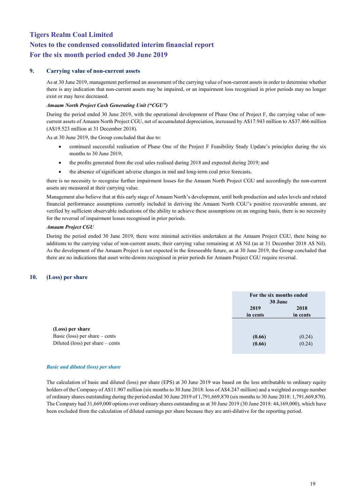## **9. Carrying value of non-current assets**

As at 30 June 2019, management performed an assessment of the carrying value of non-current assets in order to determine whether there is any indication that non-current assets may be impaired, or an impairment loss recognised in prior periods may no longer exist or may have decreased.

## *Amaam North Project Cash Generating Unit ("CGU")*

During the period ended 30 June 2019, with the operational development of Phase One of Project F, the carrying value of noncurrent assets of Amaam North Project CGU, net of accumulated depreciation, increased by A\$17.943 million to A\$37.466 million (A\$19.523 million at 31 December 2018).

As at 30 June 2019, the Group concluded that due to:

- continued successful realisation of Phase One of the Project F Feasibility Study Update's principles during the six months to 30 June 2019;
- the profits generated from the coal sales realised during 2018 and expected during 2019; and
- the absence of significant adverse changes in mid and long-term coal price forecasts,

there is no necessity to recognise further [impairment losse](javascript:;)s for the Amaam North Project CGU and accordingly the non-current assets are measured at their carrying value.

Management also believe that at this early stage of Amaam North's development, until both production and sales levels and related financial performance assumptions currently included in deriving the Amaam North CGU's positive recoverable amount, are verified by sufficient observable indications of the ability to achieve these assumptions on an ongoing basis, there is no necessity for the reversal of impairment losses recognised in prior periods.

## *Amaam Project CGU*

During the period ended 30 June 2019, there were minimal activities undertaken at the Amaam Project CGU, there being no additions to the carrying value of non-current assets, their carrying value remaining at A\$ Nil (as at 31 December 2018 A\$ Nil). As the development of the Amaam Project is not expected in the foreseeable future, as at 30 June 2019, the Group concluded that there are no indications that asset write-downs recognised in prior periods for Amaam Project CGU require reversal.

## **10. (Loss) per share**

|                                    | For the six months ended<br>30 June |          |
|------------------------------------|-------------------------------------|----------|
|                                    | 2019                                | 2018     |
|                                    | in cents                            | in cents |
|                                    |                                     |          |
| (Loss) per share                   |                                     |          |
| Basic (loss) per share $-$ cents   | (0.66)                              | (0.24)   |
| Diluted (loss) per share $-$ cents | (0.66)                              | (0.24)   |

## *Basic and diluted (loss) per share*

The calculation of basic and diluted (loss) per share (EPS) at 30 June 2019 was based on the loss attributable to ordinary equity holders of the Company of A\$11.907 million (six months to 30 June 2018: loss of A\$4.247 million) and a weighted average number of ordinary shares outstanding during the period ended 30 June 2019 of 1,791,669,870 (six months to 30 June 2018: 1,791,669,870). The Company had 31,669,000 options over ordinary shares outstanding as at 30 June 2019 (30 June 2018: 44,169,000), which have been excluded from the calculation of diluted earnings per share because they are anti-dilutive for the reporting period.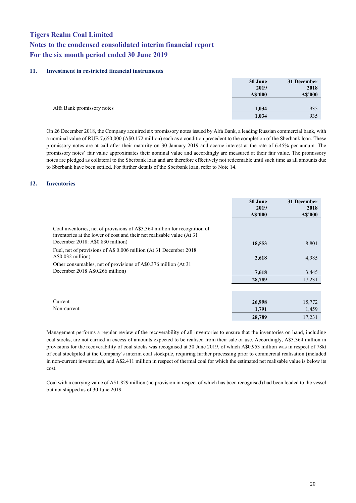## **11. Investment in restricted financial instruments**

|                            | 30 June | 31 December |
|----------------------------|---------|-------------|
|                            | 2019    | 2018        |
|                            | A\$'000 | A\$'000     |
|                            |         |             |
| Alfa Bank promissory notes | 1,034   | 935         |
|                            | 1,034   | 935         |

On 26 December 2018, the Company acquired six promissory notes issued by Alfa Bank, a leading Russian commercial bank, with a nominal value of RUB 7,650,000 (A\$0.172 million) each as a condition precedent to the completion of the Sberbank loan. These promissory notes are at call after their maturity on 30 January 2019 and accrue interest at the rate of 6.45% per annum. The promissory notes' fair value approximates their nominal value and accordingly are measured at their fair value. The promissory notes are pledged as collateral to the Sberbank loan and are therefore effectively not redeemable until such time as all amounts due to Sberbank have been settled. For further details of the Sberbank loan, refer to Note 14.

## **12. Inventories**

|                                                                                                                                                                | 30 June<br>2019<br>A\$'000 | 31 December<br>2018<br>A\$'000 |
|----------------------------------------------------------------------------------------------------------------------------------------------------------------|----------------------------|--------------------------------|
| Coal inventories, net of provisions of A\$3.364 million for recognition of<br>inventories at the lower of cost and their net realisable value (At 31           |                            |                                |
| December 2018: A\$0.830 million)                                                                                                                               | 18,553                     | 8,801                          |
| Fuel, net of provisions of A\$ 0.006 million (At 31 December 2018<br>$A\$ {0.032} million)<br>Other consumables, net of provisions of A\$0.376 million (At 31) | 2,618                      | 4,985                          |
| December 2018 A\$0.266 million)                                                                                                                                | 7,618                      | 3,445                          |
|                                                                                                                                                                | 28,789                     | 17,231                         |
|                                                                                                                                                                |                            |                                |
|                                                                                                                                                                |                            |                                |
| Current                                                                                                                                                        | 26,998                     | 15,772                         |
| Non-current                                                                                                                                                    | 1,791                      | 1,459                          |
|                                                                                                                                                                | 28,789                     | 17,231                         |

Management performs a regular review of the recoverability of all inventories to ensure that the inventories on hand, including coal stocks, are not carried in excess of amounts expected to be realised from their sale or use. Accordingly, A\$3.364 million in provisions for the recoverability of coal stocks was recognised at 30 June 2019, of which A\$0.953 million was in respect of 78kt of coal stockpiled at the Company's interim coal stockpile, requiring further processing prior to commercial realisation (included in non-current inventories), and A\$2.411 million in respect of thermal coal for which the estimated net realisable value is below its cost.

Coal with a carrying value of A\$1.829 million (no provision in respect of which has been recognised) had been loaded to the vessel but not shipped as of 30 June 2019.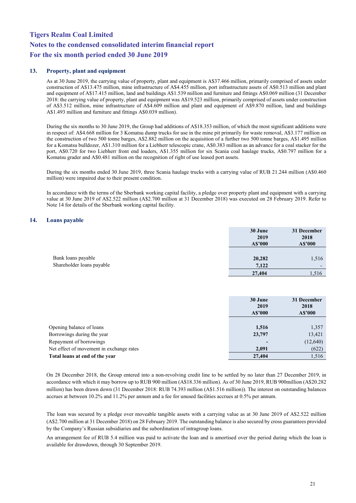## **13. Property, plant and equipment**

As at 30 June 2019, the carrying value of property, plant and equipment is A\$37.466 million, primarily comprised of assets under construction of A\$13.475 million, mine infrastructure of A\$4.455 million, port infrastructure assets of A\$0.513 million and plant and equipment of A\$17.415 million, land and buildings A\$1.539 million and furniture and fittings A\$0.069 million (31 December 2018: the carrying value of property, plant and equipment was A\$19.523 million, primarily comprised of assets under construction of A\$3.512 million, mine infrastructure of A\$4.609 million and plant and equipment of A\$9.870 million, land and buildings A\$1.493 million and furniture and fittings A\$0.039 million).

During the six months to 30 June 2019, the Group had additions of A\$18.353 million, of which the most significant additions were in respect of: A\$4.668 million for 3 Komatsu dump trucks for use in the mine pit primarily for waste removal, A\$3.177 million on the construction of two 500 tonne barges, A\$2.882 million on the acquisition of a further two 500 tonne barges, A\$1.495 million for a Komatsu bulldozer, A\$1.310 million for a Liebherr telescopic crane, A\$0.383 million as an advance for a coal stacker for the port, A\$0.720 for two Liebherr front end loaders, A\$1.355 million for six Scania coal haulage trucks, A\$0.797 million for a Komatsu grader and A\$0.481 million on the recognition of right of use leased port assets.

During the six months ended 30 June 2019, three Scania haulage trucks with a carrying value of RUB 21.244 million (A\$0.460 million) were impaired due to their present condition.

In accordance with the terms of the Sberbank working capital facility, a pledge over property plant and equipment with a carrying value at 30 June 2019 of A\$2.522 million (A\$2.700 million at 31 December 2018) was executed on 28 February 2019. Refer to Note 14 for details of the Sberbank working capital facility.

## **14. Loans payable**

|                                                 | 30 June<br>2019<br>A\$'000 | 31 December<br>2018<br>A\$'000    |
|-------------------------------------------------|----------------------------|-----------------------------------|
| Bank loans payable<br>Shareholder loans payable | 20,282<br>7,122            | 1,516<br>$\overline{\phantom{0}}$ |
|                                                 | 27,404                     | 1,516                             |

|                                          | 30 June<br>2019<br>A\$'000 | 31 December<br>2018<br>A\$'000 |
|------------------------------------------|----------------------------|--------------------------------|
|                                          |                            |                                |
| Opening balance of loans                 | 1,516                      | 1,357                          |
| Borrowings during the year               | 23,797                     | 13,421                         |
| Repayment of borrowings                  |                            | (12,640)                       |
| Net effect of movement in exchange rates | 2,091                      | (622)                          |
| Total loans at end of the year           | 27,404                     | 1,516                          |

On 28 December 2018, the Group entered into a non-revolving credit line to be settled by no later than 27 December 2019, in accordance with which it may borrow up to RUB 900 million (A\$18.336 million). As of 30 June 2019, RUB 900million (A\$20.282 million) has been drawn down (31 December 2018: RUB 74.393 million (A\$1.516 million)). The interest on outstanding balances accrues at between 10.2% and 11.2% per annum and a fee for unused facilities accrues at 0.5% per annum.

The loan was secured by a pledge over moveable tangible assets with a carrying value as at 30 June 2019 of A\$2.522 million (A\$2.700 million at 31 December 2018) on 28 February 2019. The outstanding balance is also secured by cross guarantees provided by the Company's Russian subsidiaries and the subordination of intragroup loans.

An arrangement fee of RUB 5.4 million was paid to activate the loan and is amortised over the period during which the loan is available for drawdown, through 30 September 2019.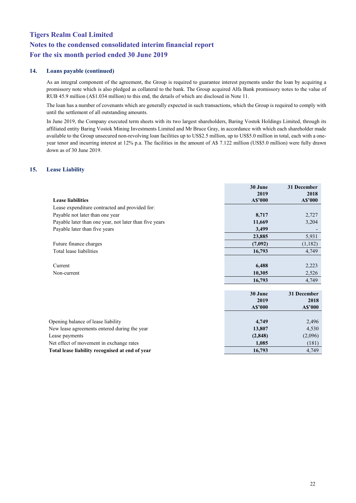## **14. Loans payable (continued)**

As an integral component of the agreement, the Group is required to guarantee interest payments under the loan by acquiring a promissory note which is also pledged as collateral to the bank. The Group acquired Alfa Bank promissory notes to the value of RUB 45.9 million (A\$1.034 million) to this end, the details of which are disclosed in Note 11.

The loan has a number of covenants which are generally expected in such transactions, which the Group is required to comply with until the settlement of all outstanding amounts.

In June 2019, the Company executed term sheets with its two largest shareholders, Baring Vostok Holdings Limited, through its affiliated entity Baring Vostok Mining Investments Limited and Mr Bruce Gray, in accordance with which each shareholder made available to the Group unsecured non-revolving loan facilities up to US\$2.5 million, up to US\$5.0 million in total, each with a oneyear tenor and incurring interest at 12% p.a. The facilities in the amount of A\$ 7.122 million (US\$5.0 million) were fully drawn down as of 30 June 2019.

## **15. Lease Liability**

|                                                        | 30 June | 31 December |
|--------------------------------------------------------|---------|-------------|
|                                                        | 2019    | 2018        |
| <b>Lease liabilities</b>                               | A\$'000 | A\$'000     |
| Lease expenditure contracted and provided for:         |         |             |
| Payable not later than one year                        | 8,717   | 2,727       |
| Payable later than one year, not later than five years | 11,669  | 3,204       |
| Payable later than five years                          | 3,499   |             |
|                                                        | 23,885  | 5,931       |
| Future finance charges                                 | (7,092) | (1,182)     |
| Total lease liabilities                                | 16,793  | 4,749       |
| Current                                                | 6,488   | 2,223       |
| Non-current                                            | 10,305  | 2,526       |
|                                                        | 16,793  | 4,749       |
|                                                        | 30 June | 31 December |
|                                                        | 2019    | 2018        |
|                                                        | A\$'000 | A\$'000     |
|                                                        |         |             |
| Opening balance of lease liability                     | 4,749   | 2,496       |
| New lease agreements entered during the year           | 13,807  | 4,530       |
| Lease payments                                         | (2,848) | (2,096)     |
| Net effect of movement in exchange rates               | 1,085   | (181)       |
| Total lease liability recognised at end of year        | 16,793  | 4,749       |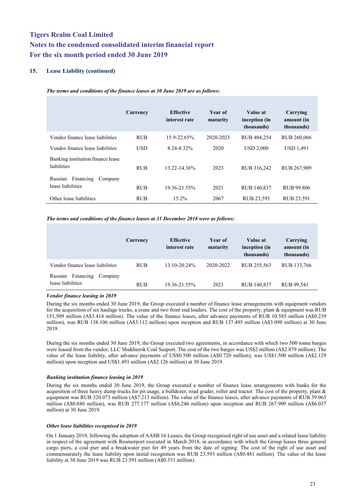## **15. Lease Liability (continued)**

|                                                      | Currency   | <b>Effective</b><br>interest rate | Year of<br>maturity | Value at<br>inception (in<br>thousands) | Carrying<br>amount (in<br>thousands) |
|------------------------------------------------------|------------|-----------------------------------|---------------------|-----------------------------------------|--------------------------------------|
| Vendor finance lease liabilities                     | <b>RUB</b> | 15.9-22.65%                       | 2020-2023           | RUB 404,254                             | RUB 260,066                          |
| Vendor finance lease liabilities                     | USD        | 8.24-8.32%                        | 2020                | <b>USD 2.000</b>                        | <b>USD 1,491</b>                     |
| Banking institution finance lease<br>liabilities     | <b>RUB</b> | 13.22-14.36%                      | 2023                | RUB 316,242                             | RUB 267,909                          |
| Financing<br>Russian<br>Company<br>lease liabilities | <b>RUB</b> | 19.36-21.55%                      | 2021                | RUB 140,837                             | <b>RUB 99,806</b>                    |
| Other lease liabilities                              | <b>RUB</b> | $15.2\%$                          | 2067                | RUB 23,593                              | RUB 23,591                           |

*The terms and conditions of the finance leases at 30 June 2019 are as follows:*

#### *The terms and conditions of the finance leases at 31 December 2018 were as follows:*

|                                                      | Currency   | <b>Effective</b><br>interest rate | <b>Year of</b><br>maturity | Value at<br>inception (in<br>thousands) | Carrying<br>amount (in<br>thousands) |
|------------------------------------------------------|------------|-----------------------------------|----------------------------|-----------------------------------------|--------------------------------------|
| Vendor finance lease liabilities                     | <b>RUB</b> | 13.10-20.24%                      | 2020-2022                  | RUB 255,563                             | RUB 133,766                          |
| Financing<br>Russian<br>Company<br>lease liabilities | <b>RUB</b> | 19.36-21.55%                      | 2021                       | RUB 140,837                             | RUB 99,541                           |

## *Vendor finance leasing in 2019*

During the six months ended 30 June 2019, the Group executed a number of finance lease arrangements with equipment vendors for the acquisition of six haulage trucks, a crane and two front end loaders. The cost of the property, plant & equipment was RUB 151,509 million (A\$3.414 million). The value of the finance leases, after advance payments of RUB 10.585 million (A\$0.239 million), was RUB 138.106 million (A\$3.112 million) upon inception and RUB 137.495 million (A\$3.098 million) at 30 June 2019.

During the six months ended 30 June 2019, the Group executed two agreements, in accordance with which two 500 tonne barges were leased from the vendor, LLC Shakhtersk Coal Seaport. The cost of the two barges was US\$2 million (A\$2.879 million). The value of the lease liability, after advance payments of US\$0.500 million (A\$0.720 million), was US\$1.500 million (A\$2.129 million) upon inception and US\$1.491 million (A\$2.126 million) at 30 June 2019.

## *Banking institution finance leasing in 2019*

During the six months ended 30 June 2019, the Group executed a number of finance lease arrangements with banks for the acquisition of three heavy dump trucks for pit usage, a bulldozer, road grader, roller and tractor. The cost of the property, plant & equipment was RUB 320.073 million (A\$7.213 million). The value of the finance leases, after advance payments of RUB 39.065 million (A\$0.880 million), was RUB 277.177 million (A\$6.246 million) upon inception and RUB 267.909 million (A\$6.037 million) at 30 June 2019.

## *Other lease liabilities recognised in 2019*

On 1 January 2019, following the adoption of AASB 16 Leases, the Group recognised right of use asset and a related lease liability in respect of the agreement with Rosmorport executed in March 2018, in accordance with which the Group leases three general cargo piers, a coal pier and a breakwater pier for 49 years from the date of signing. The cost of the right of use asset and commensurately the lease liability upon initial recognition was RUB 23.593 million (A\$0.481 million). The value of the lease liability at 30 June 2019 was RUB 23.591 million (A\$0.531 million).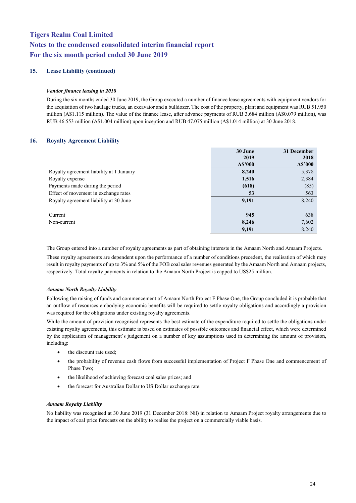## **15. Lease Liability (continued)**

## *Vendor finance leasing in 2018*

During the six months ended 30 June 2019, the Group executed a number of finance lease agreements with equipment vendors for the acquisition of two haulage trucks, an excavator and a bulldozer. The cost of the property, plant and equipment was RUB 51.950 million (A\$1.115 million). The value of the finance lease, after advance payments of RUB 3.684 million (A\$0.079 million), was RUB 46.553 million (A\$1.004 million) upon inception and RUB 47.075 million (A\$1.014 million) at 30 June 2018.

## **16. Royalty Agreement Liability**

|                                          | 30 June | 31 December |
|------------------------------------------|---------|-------------|
|                                          | 2019    | 2018        |
|                                          | A\$'000 | A\$'000     |
| Royalty agreement liability at 1 January | 8,240   | 5,378       |
| Royalty expense                          | 1,516   | 2,384       |
| Payments made during the period          | (618)   | (85)        |
| Effect of movement in exchange rates     | 53      | 563         |
| Royalty agreement liability at 30 June   | 9,191   | 8,240       |
|                                          |         |             |
| Current                                  | 945     | 638         |
| Non-current                              | 8,246   | 7,602       |
|                                          | 9,191   | 8,240       |

The Group entered into a number of royalty agreements as part of obtaining interests in the Amaam North and Amaam Projects.

These royalty agreements are dependent upon the performance of a number of conditions precedent, the realisation of which may result in royalty payments of up to 3% and 5% of the FOB coal sales revenues generated by the Amaam North and Amaam projects, respectively. Total royalty payments in relation to the Amaam North Project is capped to US\$25 million.

## *Amaam North Royalty Liability*

Following the raising of funds and commencement of Amaam North Project F Phase One, the Group concluded it is probable that an outflow of resources embodying economic benefits will be required to settle royalty obligations and accordingly a provision was required for the obligations under existing royalty agreements.

While the amount of provision recognised represents the best estimate of the expenditure required to settle the obligations under existing royalty agreements, this estimate is based on estimates of possible outcomes and financial effect, which were determined by the application of management's judgement on a number of key assumptions used in determining the amount of provision, including:

- the discount rate used:
- the probability of revenue cash flows from successful implementation of Project F Phase One and commencement of Phase Two;
- the likelihood of achieving forecast coal sales prices; and
- the forecast for Australian Dollar to US Dollar exchange rate.

## *Amaam Royalty Liability*

No liability was recognised at 30 June 2019 (31 December 2018: Nil) in relation to Amaam Project royalty arrangements due to the impact of coal price forecasts on the ability to realise the project on a commercially viable basis.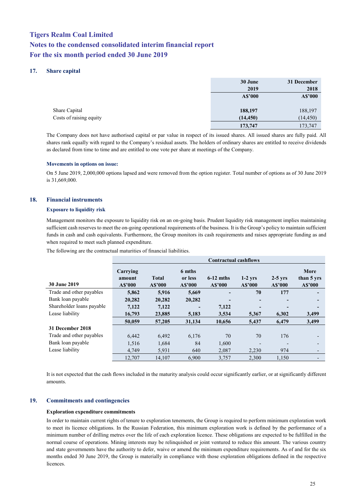## **17. Share capital**

|                         | 30 June   | 31 December |
|-------------------------|-----------|-------------|
|                         | 2019      | 2018        |
|                         | A\$'000   | A\$'000     |
|                         |           |             |
| Share Capital           | 188,197   | 188,197     |
| Costs of raising equity | (14, 450) | (14, 450)   |
|                         | 173,747   | 173,747     |

The Company does not have authorised capital or par value in respect of its issued shares. All issued shares are fully paid. All shares rank equally with regard to the Company's residual assets. The holders of ordinary shares are entitled to receive dividends as declared from time to time and are entitled to one vote per share at meetings of the Company.

## **Movements in options on issue:**

On 5 June 2019, 2,000,000 options lapsed and were removed from the option register. Total number of options as of 30 June 2019 is 31,669,000.

## **18. Financial instruments**

## **Exposure to liquidity risk**

Management monitors the exposure to liquidity risk on an on-going basis. Prudent liquidity risk management implies maintaining sufficient cash reserves to meet the on-going operational requirements of the business. It is the Group's policy to maintain sufficient funds in cash and cash equivalents. Furthermore, the Group monitors its cash requirements and raises appropriate funding as and when required to meet such planned expenditure.

The following are the contractual maturities of financial liabilities.

|                           | <b>Contractual cashflows</b>  |                         |                              |                        |                      |                      |                               |  |
|---------------------------|-------------------------------|-------------------------|------------------------------|------------------------|----------------------|----------------------|-------------------------------|--|
| <b>30 June 2019</b>       | Carrying<br>amount<br>A\$'000 | <b>Total</b><br>A\$'000 | 6 mths<br>or less<br>A\$'000 | $6-12$ mths<br>A\$'000 | $1-2$ yrs<br>A\$'000 | $2-5$ yrs<br>A\$'000 | More<br>than 5 yrs<br>A\$'000 |  |
| Trade and other payables  | 5,862                         | 5,916                   | 5,669                        |                        | 70                   | 177                  |                               |  |
| Bank loan payable         | 20,282                        | 20,282                  | 20,282                       |                        |                      |                      |                               |  |
| Shareholder loans payable | 7,122                         | 7,122                   |                              | 7,122                  |                      |                      |                               |  |
| Lease liability           | 16,793                        | 23,885                  | 5,183                        | 3,534                  | 5,367                | 6,302                | 3,499                         |  |
|                           | 50,059                        | 57,205                  | 31,134                       | 10,656                 | 5,437                | 6,479                | 3,499                         |  |
| 31 December 2018          |                               |                         |                              |                        |                      |                      |                               |  |
| Trade and other payables  | 6.442                         | 6.492                   | 6,176                        | 70                     | 70                   | 176                  |                               |  |
| Bank loan payable         | 1,516                         | 1,684                   | 84                           | 1,600                  |                      |                      |                               |  |
| Lease liability           | 4.749                         | 5,931                   | 640                          | 2,087                  | 2,230                | 974                  |                               |  |
|                           | 12,707                        | 14.107                  | 6.900                        | 3,757                  | 2,300                | 1,150                |                               |  |

It is not expected that the cash flows included in the maturity analysis could occur significantly earlier, or at significantly different amounts.

## **19. Commitments and contingencies**

## **Exploration expenditure commitments**

In order to maintain current rights of tenure to exploration tenements, the Group is required to perform minimum exploration work to meet its licence obligations. In the Russian Federation, this minimum exploration work is defined by the performance of a minimum number of drilling metres over the life of each exploration licence. These obligations are expected to be fulfilled in the normal course of operations. Mining interests may be relinquished or joint ventured to reduce this amount. The various country and state governments have the authority to defer, waive or amend the minimum expenditure requirements. As of and for the six months ended 30 June 2019, the Group is materially in compliance with those exploration obligations defined in the respective **licences**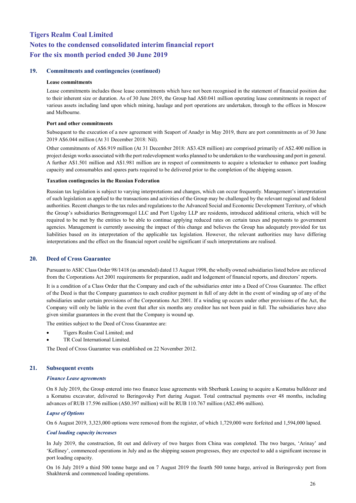## **19. Commitments and contingencies (continued)**

#### **Lease commitments**

Lease commitments includes those lease commitments which have not been recognised in the statement of financial position due to their inherent size or duration. As of 30 June 2019, the Group had A\$0.041 million operating lease commitments in respect of various assets including land upon which mining, haulage and port operations are undertaken, through to the offices in Moscow and Melbourne.

## **Port and other commitments**

Subsequent to the execution of a new agreement with Seaport of Anadyr in May 2019, there are port commitments as of 30 June 2019 A\$6.044 million (At 31 December 2018: Nil).

Other commitments of A\$6.919 million (At 31 December 2018: A\$3.428 million) are comprised primarily of A\$2.400 million in project design works associated with the port redevelopment works planned to be undertaken to the warehousing and port in general. A further A\$1.501 million and A\$1.981 million are in respect of commitments to acquire a telestacker to enhance port loading capacity and consumables and spares parts required to be delivered prior to the completion of the shipping season.

#### **Taxation contingencies in the Russian Federation**

Russian tax legislation is subject to varying interpretations and changes, which can occur frequently. Management's interpretation of such legislation as applied to the transactions and activities of the Group may be challenged by the relevant regional and federal authorities. Recent changes to the tax rules and regulations to the Advanced Social and Economic Development Territory, of which the Group's subsidiaries Beringpromugol LLC and Port Ugolny LLP are residents, introduced additional criteria, which will be required to be met by the entities to be able to continue applying reduced rates on certain taxes and payments to government agencies. Management is currently assessing the impact of this change and believes the Group has adequately provided for tax liabilities based on its interpretation of the applicable tax legislation. However, the relevant authorities may have differing interpretations and the effect on the financial report could be significant if such interpretations are realised.

## **20. Deed of Cross Guarantee**

Pursuant to ASIC Class Order 98/1418 (as amended) dated 13 August 1998, the wholly owned subsidiaries listed below are relieved from the Corporations Act 2001 requirements for preparation, audit and lodgement of financial reports, and directors' reports.

It is a condition of a Class Order that the Company and each of the subsidiaries enter into a Deed of Cross Guarantee. The effect of the Deed is that the Company guarantees to each creditor payment in full of any debt in the event of winding up of any of the subsidiaries under certain provisions of the Corporations Act 2001. If a winding up occurs under other provisions of the Act, the Company will only be liable in the event that after six months any creditor has not been paid in full. The subsidiaries have also given similar guarantees in the event that the Company is wound up.

The entities subject to the Deed of Cross Guarantee are:

- Tigers Realm Coal Limited; and
- TR Coal International Limited.

The Deed of Cross Guarantee was established on 22 November 2012.

## **21. Subsequent events**

#### *Finance Lease agreements*

On 8 July 2019, the Group entered into two finance lease agreements with Sberbank Leasing to acquire a Komatsu bulldozer and a Komatsu excavator, delivered to Beringovsky Port during August. Total contractual payments over 48 months, including advances of RUB 17.596 million (A\$0.397 million) will be RUB 110.767 million (A\$2.496 million).

## *Lapse of Options*

On 6 August 2019, 3,323,000 options were removed from the register, of which 1,729,000 were forfeited and 1,594,000 lapsed.

## *Coal loading capacity increases*

In July 2019, the construction, fit out and delivery of two barges from China was completed. The two barges, 'Arinay' and 'Kelliney', commenced operations in July and as the shipping season progresses, they are expected to add a significant increase in port loading capacity.

On 16 July 2019 a third 500 tonne barge and on 7 August 2019 the fourth 500 tonne barge, arrived in Beringovsky port from Shakhtersk and commenced loading operations.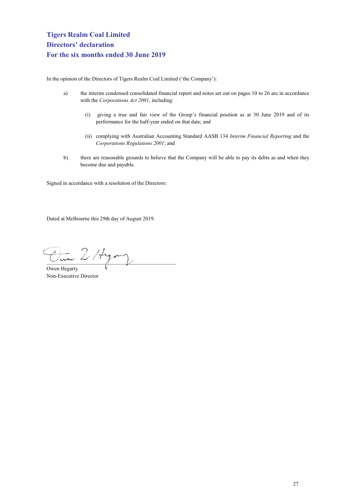<span id="page-27-0"></span>In the opinion of the Directors of Tigers Realm Coal Limited ('the Company'):

- a) the interim condensed consolidated financial report and notes set out on pages 10 to 26 are in accordance with the *Corporations Act 2001*, including:
	- (i) giving a true and fair view of the Group's financial position as at 30 June 2019 and of its performance for the half-year ended on that date; and
	- (ii) complying with Australian Accounting Standard AASB 134 *Interim Financial Reporting* and the *Corporations Regulations 2001*; and
- b) there are reasonable grounds to believe that the Company will be able to pay its debts as and when they become due and payable.

Signed in accordance with a resolution of the Directors:

Dated at Melbourne this 29th day of August 2019.

In 2/ Hyang

Owen Hegarty Non-Executive Director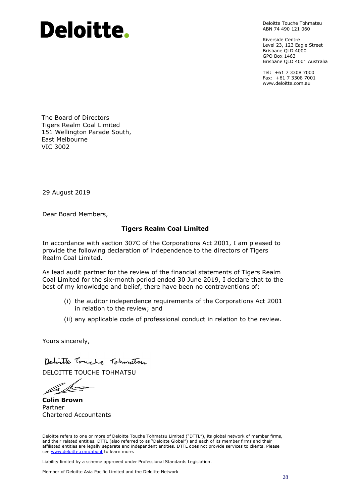# Deloitte.

Deloitte Touche Tohmatsu ABN 74 490 121 060

Riverside Centre Level 23, 123 Eagle Street Brisbane QLD 4000 GPO Box 1463 Brisbane QLD 4001 Australia

Tel: +61 7 3308 7000 Fax: +61 7 3308 7001 www.deloitte.com.au

The Board of Directors Tigers Realm Coal Limited 151 Wellington Parade South, East Melbourne VIC 3002

29 August 2019

Dear Board Members,

## **Tigers Realm Coal Limited**

In accordance with section 307C of the Corporations Act 2001, I am pleased to provide the following declaration of independence to the directors of Tigers Realm Coal Limited.

As lead audit partner for the review of the financial statements of Tigers Realm Coal Limited for the six-month period ended 30 June 2019, I declare that to the best of my knowledge and belief, there have been no contraventions of:

- (i) the auditor independence requirements of the Corporations Act 2001 in relation to the review; and
- (ii) any applicable code of professional conduct in relation to the review.

Yours sincerely,

Detaille Touche Tohmatsu

DELOITTE TOUCHE TOHMATSU

**Colin Brown** Partner Chartered Accountants

Deloitte refers to one or more of Deloitte Touche Tohmatsu Limited ("DTTL"), its global network of member firms, and their related entities. DTTL (also referred to as "Deloitte Global") and each of its member firms and their affiliated entities are legally separate and independent entities. DTTL does not provide services to clients. Please see [www.deloitte.com/about](http://www.deloitte.com/about) to learn more.

Liability limited by a scheme approved under Professional Standards Legislation.

Member of Deloitte Asia Pacific Limited and the Deloitte Network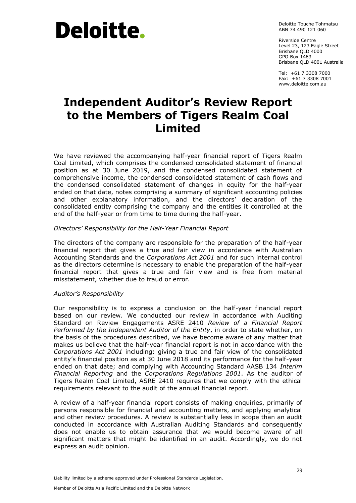# Deloitte.

Deloitte Touche Tohmatsu ABN 74 490 121 060

Riverside Centre Level 23, 123 Eagle Street Brisbane QLD 4000 GPO Box 1463 Brisbane QLD 4001 Australia

Tel: +61 7 3308 7000 Fax: +61 7 3308 7001 www.deloitte.com.au

# **Independent Auditor's Review Report to the Members of Tigers Realm Coal Limited**

We have reviewed the accompanying half-year financial report of Tigers Realm Coal Limited, which comprises the condensed consolidated statement of financial position as at 30 June 2019, and the condensed consolidated statement of comprehensive income, the condensed consolidated statement of cash flows and the condensed consolidated statement of changes in equity for the half-year ended on that date, notes comprising a summary of significant accounting policies and other explanatory information, and the directors' declaration of the consolidated entity comprising the company and the entities it controlled at the end of the half-year or from time to time during the half-year.

## *Directors' Responsibility for the Half-Year Financial Report*

The directors of the company are responsible for the preparation of the half-year financial report that gives a true and fair view in accordance with Australian Accounting Standards and the *Corporations Act 2001* and for such internal control as the directors determine is necessary to enable the preparation of the half-year financial report that gives a true and fair view and is free from material misstatement, whether due to fraud or error.

## *Auditor's Responsibility*

Our responsibility is to express a conclusion on the half-year financial report based on our review. We conducted our review in accordance with Auditing Standard on Review Engagements ASRE 2410 *Review of a Financial Report Performed by the Independent Auditor of the Entity*, in order to state whether, on the basis of the procedures described, we have become aware of any matter that makes us believe that the half-year financial report is not in accordance with the *Corporations Act 2001* including: giving a true and fair view of the consolidated entity's financial position as at 30 June 2018 and its performance for the half-year ended on that date; and complying with Accounting Standard AASB 134 *Interim Financial Reporting* and the *Corporations Regulations 2001*. As the auditor of Tigers Realm Coal Limited, ASRE 2410 requires that we comply with the ethical requirements relevant to the audit of the annual financial report.

A review of a half-year financial report consists of making enquiries, primarily of persons responsible for financial and accounting matters, and applying analytical and other review procedures. A review is substantially less in scope than an audit conducted in accordance with Australian Auditing Standards and consequently does not enable us to obtain assurance that we would become aware of all significant matters that might be identified in an audit. Accordingly, we do not express an audit opinion.

Liability limited by a scheme approved under Professional Standards Legislation.